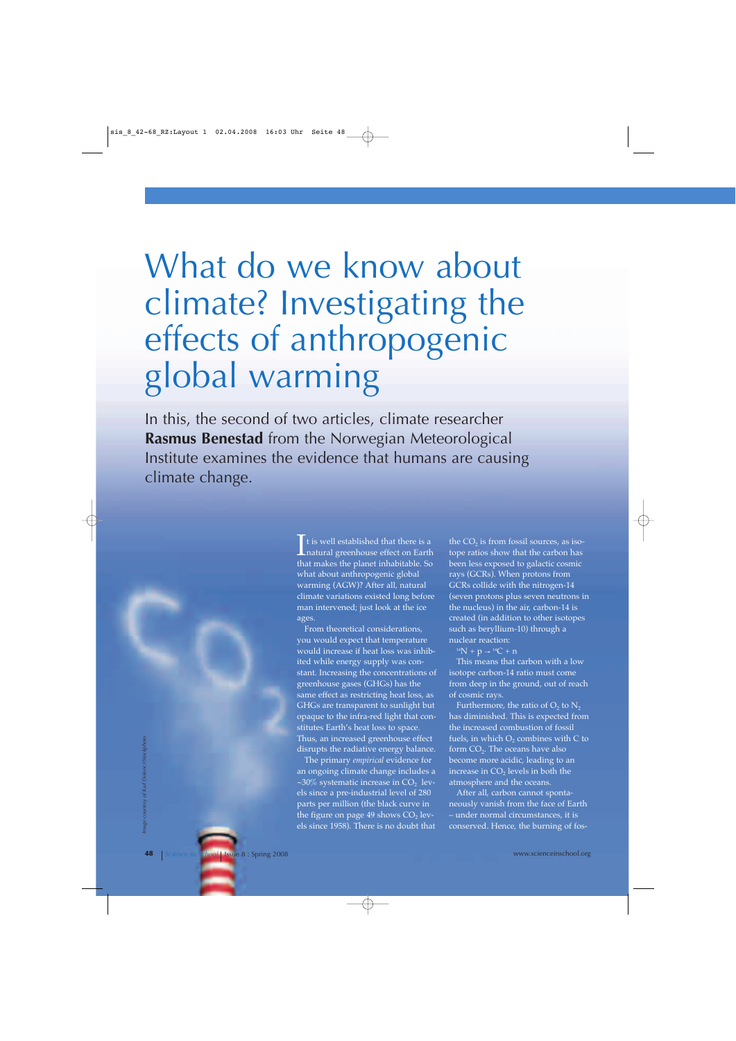# What do we know about climate? Investigating the effects of anthropogenic global warming

In this, the second of two articles, climate researcher **Rasmus Benestad** from the Norwegian Meteorological Institute examines the evidence that humans are causing climate change.

> $\sum$  t is well established that there is a<br>natural greenhouse effect on Earth<br>that makes the planet inhabitable. So t is well established that there is a that makes the planet inhabitable. So what about anthropogenic global warming (AGW)? After all, natural climate variations existed long before man intervened; just look at the ice ages.

From theoretical considerations, you would expect that temperature would increase if heat loss was inhibited while energy supply was constant. Increasing the concentrations of greenhouse gases (GHGs) has the same effect as restricting heat loss, as GHGs are transparent to sunlight but opaque to the infra-red light that constitutes Earth's heat loss to space. Thus, an increased greenhouse effect disrupts the radiative energy balance.

The primary *empirical* evidence for an ongoing climate change includes a ~30% systematic increase in  $CO<sub>2</sub>$  levels since a pre-industrial level of 280 parts per million (the black curve in the figure on page 49 shows  $CO<sub>2</sub>$  levels since 1958). There is no doubt that

the  $CO<sub>2</sub>$  is from fossil sources, as isotope ratios show that the carbon has been less exposed to galactic cosmic rays (GCRs). When protons from GCRs collide with the nitrogen-14 (seven protons plus seven neutrons in the nucleus) in the air, carbon-14 is created (in addition to other isotopes such as beryllium-10) through a nuclear reaction:

 $14N + p \rightarrow 14C + n$ 

This means that carbon with a low isotope carbon-14 ratio must come from deep in the ground, out of reach of cosmic rays.

Furthermore, the ratio of  $O_2$  to  $N_2$ has diminished. This is expected from the increased combustion of fossil fuels, in which  $O_2$  combines with C to form  $CO<sub>2</sub>$ . The oceans have also become more acidic, leading to an increase in  $CO<sub>2</sub>$  levels in both the atmosphere and the oceans.

After all, carbon cannot spontaneously vanish from the face of Earth – under normal circumstances, it is conserved. Hence, the burning of fos-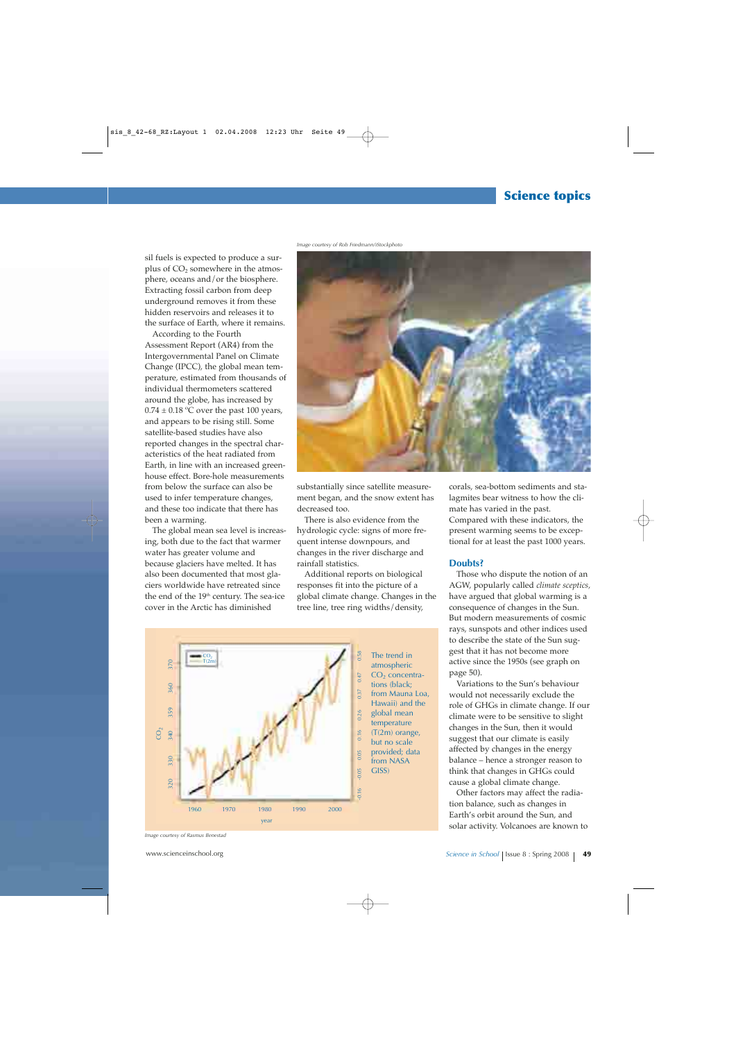## **Science topics**

*Image courtesy of Rob Friedmann/iStockphoto*

sil fuels is expected to produce a surplus of CO<sub>2</sub> somewhere in the atmosphere, oceans and/or the biosphere. Extracting fossil carbon from deep underground removes it from these hidden reservoirs and releases it to the surface of Earth, where it remains.

According to the Fourth Assessment Report (AR4) from the Intergovernmental Panel on Climate Change (IPCC), the global mean temperature, estimated from thousands of individual thermometers scattered around the globe, has increased by  $0.74 \pm 0.18$  °C over the past 100 years, and appears to be rising still. Some satellite-based studies have also reported changes in the spectral characteristics of the heat radiated from Earth, in line with an increased greenhouse effect. Bore-hole measurements from below the surface can also be used to infer temperature changes, and these too indicate that there has been a warming.

The global mean sea level is increasing, both due to the fact that warmer water has greater volume and because glaciers have melted. It has also been documented that most glaciers worldwide have retreated since the end of the 19<sup>th</sup> century. The sea-ice cover in the Arctic has diminished



substantially since satellite measurement began, and the snow extent has decreased too.

There is also evidence from the hydrologic cycle: signs of more frequent intense downpours, and changes in the river discharge and rainfall statistics.

Additional reports on biological responses fit into the picture of a global climate change. Changes in the tree line, tree ring widths/density,



atmospheric  $CO<sub>2</sub>$  concentrations (black; from Mauna Loa, Hawaii) and the global mean temperature (T(2m) orange, but no scale provided; data from NASA

corals, sea-bottom sediments and stalagmites bear witness to how the climate has varied in the past. Compared with these indicators, the present warming seems to be exceptional for at least the past 1000 years.

#### **Doubts?**

Those who dispute the notion of an AGW, popularly called *climate sceptics,* have argued that global warming is a consequence of changes in the Sun. But modern measurements of cosmic rays, sunspots and other indices used to describe the state of the Sun suggest that it has not become more active since the 1950s (see graph on page 50).

Variations to the Sun's behaviour would not necessarily exclude the role of GHGs in climate change. If our climate were to be sensitive to slight changes in the Sun, then it would suggest that our climate is easily affected by changes in the energy balance – hence a stronger reason to think that changes in GHGs could cause a global climate change.

Other factors may affect the radiation balance, such as changes in Earth's orbit around the Sun, and solar activity. Volcanoes are known to

*Image courtesy of Rasmus Benestad*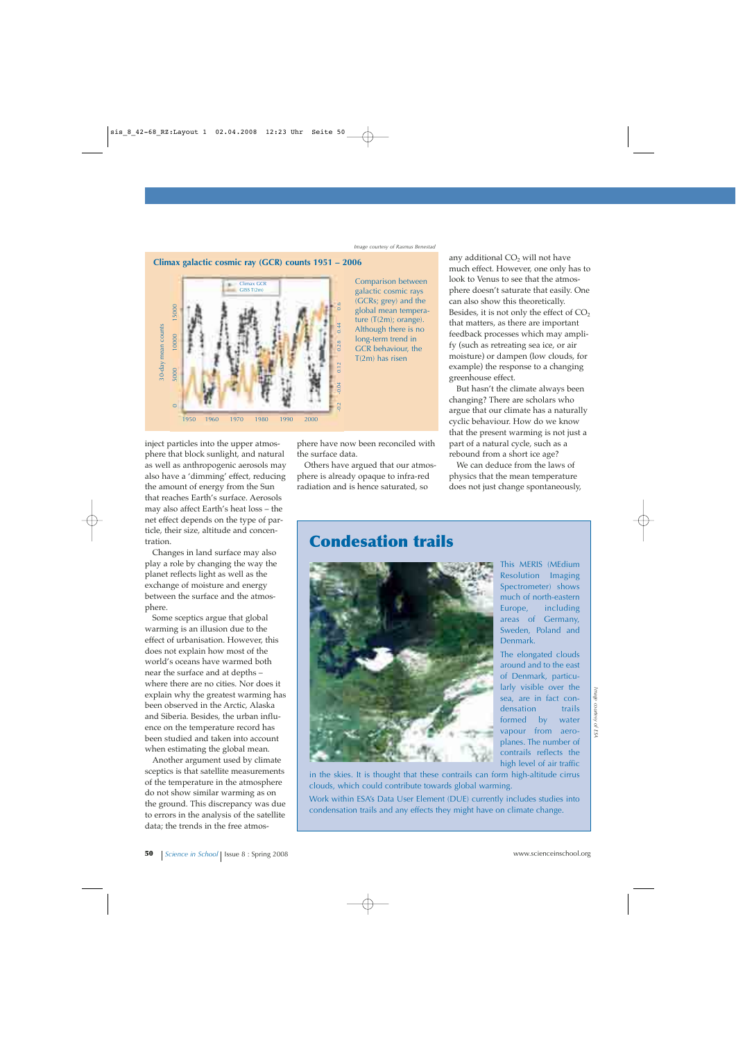### **Climax galactic cosmic ray (GCR) counts 1951 – 2006**



inject particles into the upper atmosphere that block sunlight, and natural as well as anthropogenic aerosols may also have a 'dimming' effect, reducing the amount of energy from the Sun that reaches Earth's surface. Aerosols may also affect Earth's heat loss – the net effect depends on the type of particle, their size, altitude and concentration.

Changes in land surface may also play a role by changing the way the planet reflects light as well as the exchange of moisture and energy between the surface and the atmosphere.

Some sceptics argue that global warming is an illusion due to the effect of urbanisation. However, this does not explain how most of the world's oceans have warmed both near the surface and at depths – where there are no cities. Nor does it explain why the greatest warming has been observed in the Arctic, Alaska and Siberia. Besides, the urban influence on the temperature record has been studied and taken into account when estimating the global mean.

Another argument used by climate sceptics is that satellite measurements of the temperature in the atmosphere do not show similar warming as on the ground. This discrepancy was due to errors in the analysis of the satellite data; the trends in the free atmos-

phere have now been reconciled with the surface data.

Others have argued that our atmosphere is already opaque to infra-red radiation and is hence saturated, so

any additional CO<sub>2</sub> will not have much effect. However, one only has to look to Venus to see that the atmosphere doesn't saturate that easily. One can also show this theoretically. Besides, it is not only the effect of  $CO<sub>2</sub>$ that matters, as there are important feedback processes which may amplify (such as retreating sea ice, or air moisture) or dampen (low clouds, for example) the response to a changing greenhouse effect.

But hasn't the climate always been changing? There are scholars who argue that our climate has a naturally cyclic behaviour. How do we know that the present warming is not just a part of a natural cycle, such as a rebound from a short ice age?

We can deduce from the laws of physics that the mean temperature does not just change spontaneously,

## **Condesation trails**



This MERIS (MEdium Resolution Imaging Spectrometer) shows much of north-eastern Europe, including areas of Germany, Sweden, Poland and Denmark.

The elongated clouds around and to the east of Denmark, particularly visible over the sea, are in fact condensation trails formed by water vapour from aeroplanes. The number of contrails reflects the high level of air traffic

in the skies. It is thought that these contrails can form high-altitude cirrus clouds, which could contribute towards global warming.

Work within ESA's Data User Element (DUE) currently includes studies into condensation trails and any effects they might have on climate change.

mage courtesy